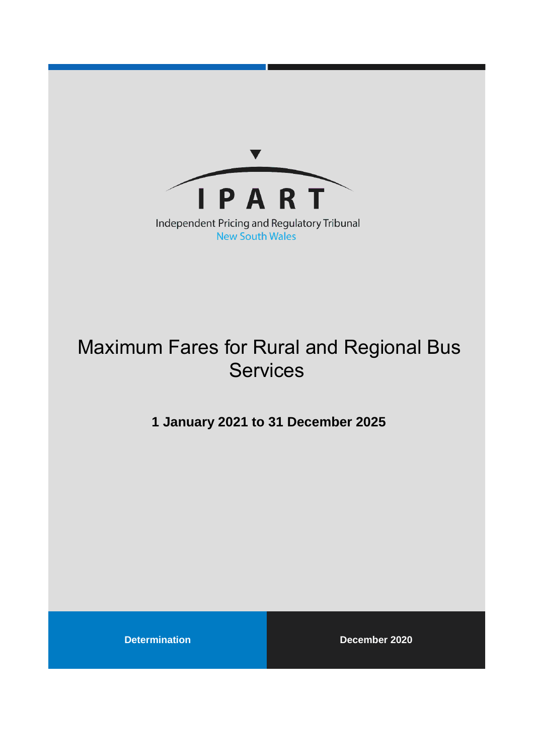

**New South Wales** 

# Maximum Fares for Rural and Regional Bus **Services**

**1 January 2021 to 31 December 2025**

**Determination December 2020**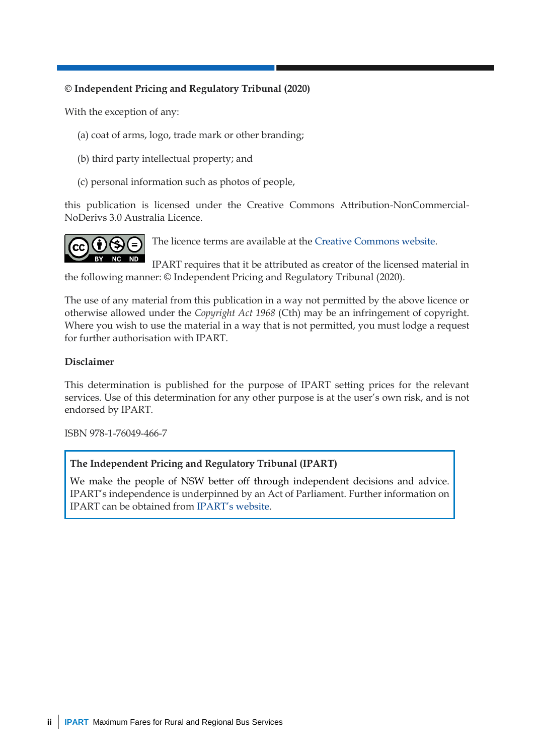#### **© Independent Pricing and Regulatory Tribunal (2020)**

With the exception of any:

- (a) coat of arms, logo, trade mark or other branding;
- (b) third party intellectual property; and
- (c) personal information such as photos of people,

this publication is licensed under the Creative Commons Attribution-NonCommercial-NoDerivs 3.0 Australia Licence.



The licence terms are available at the [Creative Commons website.](https://creativecommons.org/licenses/by-nc-nd/3.0/au/legalcode)

IPART requires that it be attributed as creator of the licensed material in the following manner: © Independent Pricing and Regulatory Tribunal (2020).

The use of any material from this publication in a way not permitted by the above licence or otherwise allowed under the *Copyright Act 1968* (Cth) may be an infringement of copyright. Where you wish to use the material in a way that is not permitted, you must lodge a request for further authorisation with IPART.

#### **Disclaimer**

This determination is published for the purpose of IPART setting prices for the relevant services. Use of this determination for any other purpose is at the user's own risk, and is not endorsed by IPART.

ISBN 978-1-76049-466-7

#### **The Independent Pricing and Regulatory Tribunal (IPART)**

We make the people of NSW better off through independent decisions and advice. IPART's independence is underpinned by an Act of Parliament. Further information on IPART can be obtained from [IPART's website](https://www.ipart.nsw.gov.au/Home).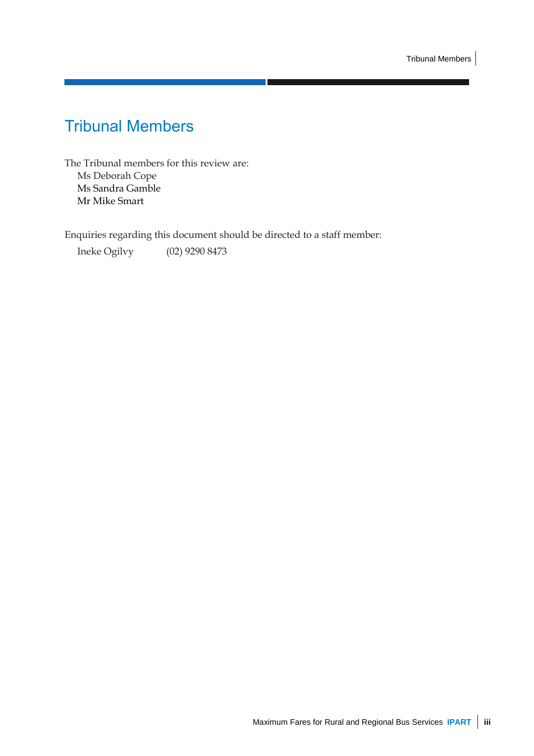## <span id="page-2-0"></span>Tribunal Members

The Tribunal members for this review are: Ms Deborah Cope Ms Sandra Gamble Mr Mike Smart

Enquiries regarding this document should be directed to a staff member:

Ineke Ogilvy (02) 9290 8473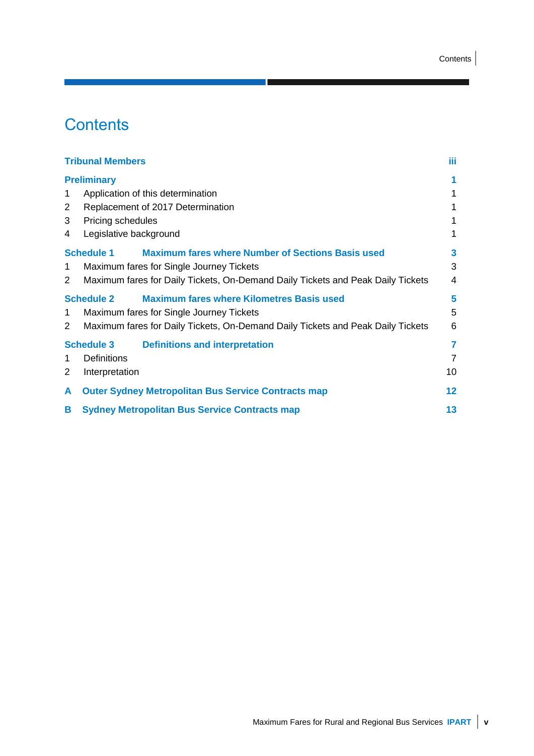## **Contents**

|                | <b>Tribunal Members</b>                                                         | Ш              |
|----------------|---------------------------------------------------------------------------------|----------------|
|                | <b>Preliminary</b>                                                              | 1              |
| 1              | Application of this determination                                               | 1              |
| $\overline{2}$ | Replacement of 2017 Determination                                               | 1              |
| 3              | Pricing schedules                                                               | 1              |
| 4              | Legislative background                                                          | 1              |
|                | <b>Maximum fares where Number of Sections Basis used</b><br><b>Schedule 1</b>   | 3              |
| 1              | Maximum fares for Single Journey Tickets                                        | 3              |
| $\overline{2}$ | Maximum fares for Daily Tickets, On-Demand Daily Tickets and Peak Daily Tickets | 4              |
|                | <b>Maximum fares where Kilometres Basis used</b><br><b>Schedule 2</b>           | 5              |
| 1              | Maximum fares for Single Journey Tickets                                        | 5              |
| $\overline{2}$ | Maximum fares for Daily Tickets, On-Demand Daily Tickets and Peak Daily Tickets | 6              |
|                | <b>Definitions and interpretation</b><br><b>Schedule 3</b>                      | $\overline{7}$ |
| 1              | Definitions                                                                     | $\overline{7}$ |
| 2              | Interpretation                                                                  | 10             |
| A              | <b>Outer Sydney Metropolitan Bus Service Contracts map</b>                      | 12             |
| B              | <b>Sydney Metropolitan Bus Service Contracts map</b>                            | 13             |

**The Co**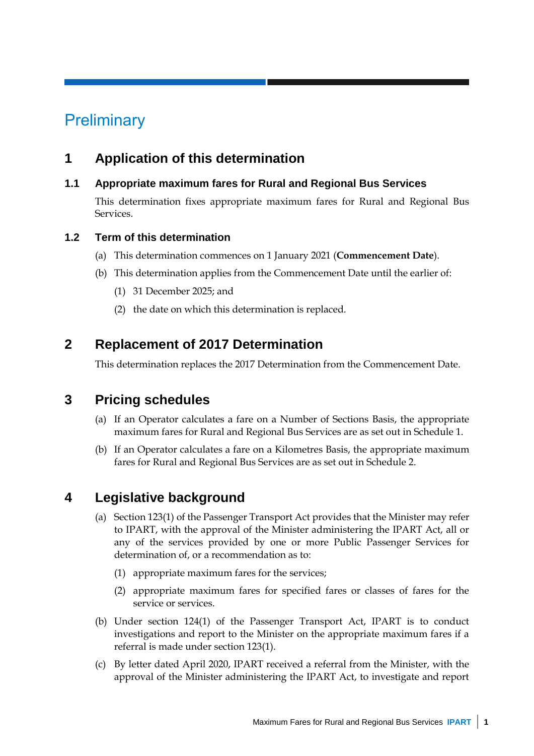## <span id="page-6-0"></span>**Preliminary**

## <span id="page-6-1"></span>**1 Application of this determination**

#### **1.1 Appropriate maximum fares for Rural and Regional Bus Services**

This determination fixes appropriate maximum fares for Rural and Regional Bus Services.

#### **1.2 Term of this determination**

- (a) This determination commences on 1 January 2021 (**Commencement Date**).
- (b) This determination applies from the Commencement Date until the earlier of:
	- (1) 31 December 2025; and
	- (2) the date on which this determination is replaced.

## <span id="page-6-2"></span>**2 Replacement of 2017 Determination**

This determination replaces the 2017 Determination from the Commencement Date.

### <span id="page-6-3"></span>**3 Pricing schedules**

- (a) If an Operator calculates a fare on a Number of Sections Basis, the appropriate maximum fares for Rural and Regional Bus Services are as set out in Schedule 1.
- (b) If an Operator calculates a fare on a Kilometres Basis, the appropriate maximum fares for Rural and Regional Bus Services are as set out in Schedule 2.

### <span id="page-6-4"></span>**4 Legislative background**

- (a) Section 123(1) of the Passenger Transport Act provides that the Minister may refer to IPART, with the approval of the Minister administering the IPART Act, all or any of the services provided by one or more Public Passenger Services for determination of, or a recommendation as to:
	- (1) appropriate maximum fares for the services;
	- (2) appropriate maximum fares for specified fares or classes of fares for the service or services.
- (b) Under section 124(1) of the Passenger Transport Act, IPART is to conduct investigations and report to the Minister on the appropriate maximum fares if a referral is made under section 123(1).
- (c) By letter dated April 2020, IPART received a referral from the Minister, with the approval of the Minister administering the IPART Act, to investigate and report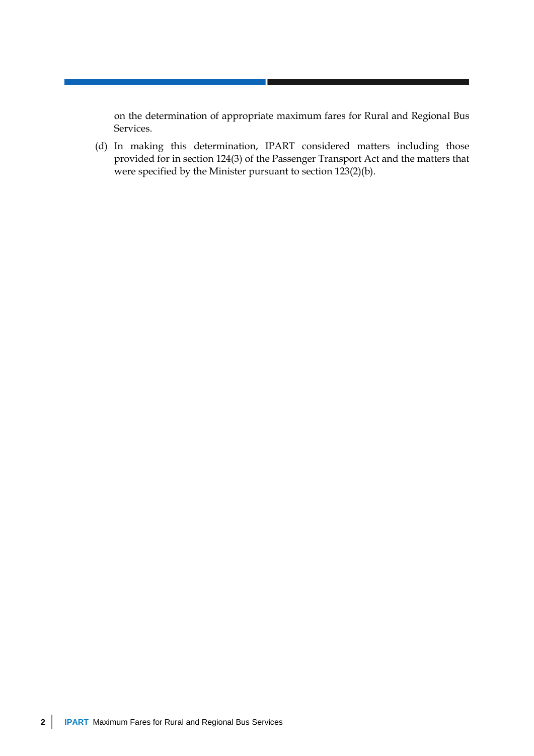on the determination of appropriate maximum fares for Rural and Regional Bus Services.

(d) In making this determination, IPART considered matters including those provided for in section 124(3) of the Passenger Transport Act and the matters that were specified by the Minister pursuant to section 123(2)(b).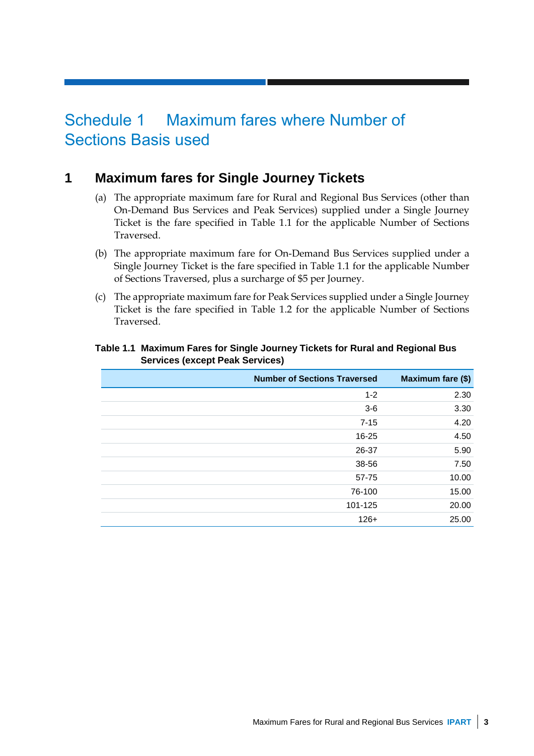## <span id="page-8-0"></span>Schedule 1 Maximum fares where Number of Sections Basis used

### **1 Maximum fares for Single Journey Tickets**

- <span id="page-8-1"></span>(a) The appropriate maximum fare for Rural and Regional Bus Services (other than On-Demand Bus Services and Peak Services) supplied under a Single Journey Ticket is the fare specified in Table 1.1 for the applicable Number of Sections Traversed.
- (b) The appropriate maximum fare for On-Demand Bus Services supplied under a Single Journey Ticket is the fare specified in Table 1.1 for the applicable Number of Sections Traversed, plus a surcharge of \$5 per Journey.
- (c) The appropriate maximum fare for Peak Services supplied under a Single Journey Ticket is the fare specified in Table 1.2 for the applicable Number of Sections Traversed.

| <b>Number of Sections Traversed</b> | Maximum fare (\$) |
|-------------------------------------|-------------------|
| $1 - 2$                             | 2.30              |
| $3-6$                               | 3.30              |
| $7 - 15$                            | 4.20              |
| $16 - 25$                           | 4.50              |
| 26-37                               | 5.90              |
| 38-56                               | 7.50              |
| 57-75                               | 10.00             |
| 76-100                              | 15.00             |
| 101-125                             | 20.00             |
| $126+$                              | 25.00             |

#### **Table 1.1 Maximum Fares for Single Journey Tickets for Rural and Regional Bus Services (except Peak Services)**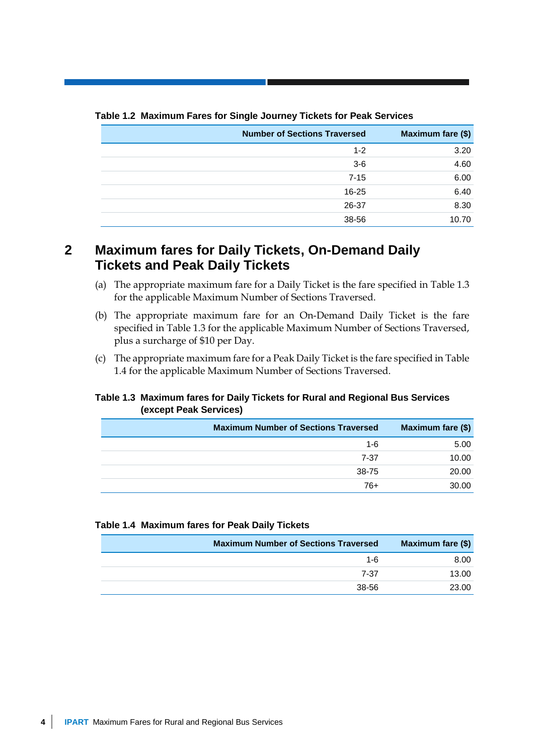| <b>Number of Sections Traversed</b> | Maximum fare (\$) |
|-------------------------------------|-------------------|
| $1 - 2$                             | 3.20              |
| $3-6$                               | 4.60              |
| $7 - 15$                            | 6.00              |
| $16 - 25$                           | 6.40              |
| 26-37                               | 8.30              |
| 38-56                               | 10.70             |

#### **Table 1.2 Maximum Fares for Single Journey Tickets for Peak Services**

### <span id="page-9-0"></span>**2 Maximum fares for Daily Tickets, On-Demand Daily Tickets and Peak Daily Tickets**

- (a) The appropriate maximum fare for a Daily Ticket is the fare specified in Table 1.3 for the applicable Maximum Number of Sections Traversed.
- (b) The appropriate maximum fare for an On-Demand Daily Ticket is the fare specified in Table 1.3 for the applicable Maximum Number of Sections Traversed, plus a surcharge of \$10 per Day.
- (c) The appropriate maximum fare for a Peak Daily Ticket is the fare specified in Table 1.4 for the applicable Maximum Number of Sections Traversed.

#### **Table 1.3 Maximum fares for Daily Tickets for Rural and Regional Bus Services (except Peak Services)**

| <b>Maximum Number of Sections Traversed</b> | Maximum fare (\$) |
|---------------------------------------------|-------------------|
| $1 - 6$                                     | 5.00              |
| 7-37                                        | 10.00             |
| 38-75                                       | 20.00             |
| 76+                                         | 30.00             |

#### **Table 1.4 Maximum fares for Peak Daily Tickets**

| <b>Maximum Number of Sections Traversed</b> | Maximum fare (\$) |
|---------------------------------------------|-------------------|
| $1 - 6$                                     | 8.00              |
| 7-37                                        | 13.00             |
| 38-56                                       | 23.00             |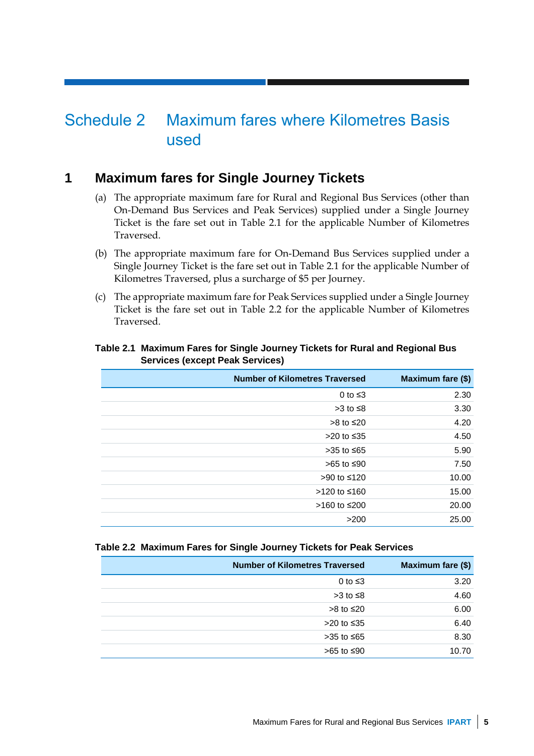## <span id="page-10-0"></span>Schedule 2 Maximum fares where Kilometres Basis used

### <span id="page-10-1"></span>**1 Maximum fares for Single Journey Tickets**

- (a) The appropriate maximum fare for Rural and Regional Bus Services (other than On-Demand Bus Services and Peak Services) supplied under a Single Journey Ticket is the fare set out in Table 2.1 for the applicable Number of Kilometres Traversed.
- (b) The appropriate maximum fare for On-Demand Bus Services supplied under a Single Journey Ticket is the fare set out in Table 2.1 for the applicable Number of Kilometres Traversed, plus a surcharge of \$5 per Journey.
- (c) The appropriate maximum fare for Peak Services supplied under a Single Journey Ticket is the fare set out in Table 2.2 for the applicable Number of Kilometres Traversed.

| <b>Number of Kilometres Traversed</b> | Maximum fare (\$) |
|---------------------------------------|-------------------|
| 0 to $\leq$ 3                         | 2.30              |
| $>3$ to $\leq 8$                      | 3.30              |
| > $8$ to ≤20                          | 4.20              |
| >20 to ≤35                            | 4.50              |
| >35 to ≤65                            | 5.90              |
| >65 to ≤90                            | 7.50              |
| >90 to ≤120                           | 10.00             |
| >120 to ≤160                          | 15.00             |
| >160 to ≤200                          | 20.00             |
| >200                                  | 25.00             |

#### **Table 2.1 Maximum Fares for Single Journey Tickets for Rural and Regional Bus Services (except Peak Services)**

#### **Table 2.2 Maximum Fares for Single Journey Tickets for Peak Services**

| <b>Number of Kilometres Traversed</b> | Maximum fare (\$) |
|---------------------------------------|-------------------|
| 0 to $\leq$ 3                         | 3.20              |
| $>3$ to $\leq 8$                      | 4.60              |
| $>8$ to $\leq 20$                     | 6.00              |
| >20 to ≤35                            | 6.40              |
| $>35$ to $\leq 65$                    | 8.30              |
| >65 to ≤90                            | 10.70             |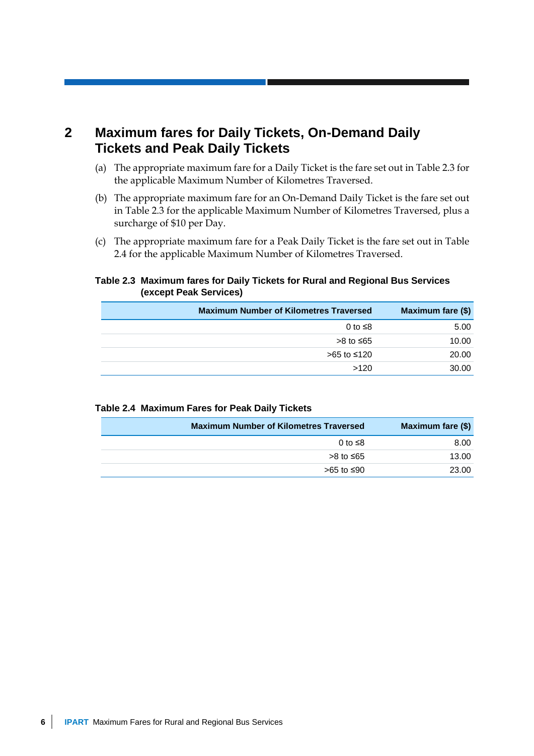## <span id="page-11-0"></span>**2 Maximum fares for Daily Tickets, On-Demand Daily Tickets and Peak Daily Tickets**

- (a) The appropriate maximum fare for a Daily Ticket is the fare set out in Table 2.3 for the applicable Maximum Number of Kilometres Traversed.
- (b) The appropriate maximum fare for an On-Demand Daily Ticket is the fare set out in Table 2.3 for the applicable Maximum Number of Kilometres Traversed, plus a surcharge of \$10 per Day.
- (c) The appropriate maximum fare for a Peak Daily Ticket is the fare set out in Table 2.4 for the applicable Maximum Number of Kilometres Traversed.

#### **Table 2.3 Maximum fares for Daily Tickets for Rural and Regional Bus Services (except Peak Services)**

| <b>Maximum Number of Kilometres Traversed</b> | Maximum fare (\$) |
|-----------------------------------------------|-------------------|
| 0 to $\leq$ 8                                 | 5.00              |
| >8 to ≤65                                     | 10.00             |
| >65 to ≤120                                   | 20.00             |
| >120                                          | 30.00             |

#### **Table 2.4 Maximum Fares for Peak Daily Tickets**

| Maximum fare (\$) | <b>Maximum Number of Kilometres Traversed</b> |
|-------------------|-----------------------------------------------|
| 8.00              | 0 to $\leq$ 8                                 |
| 13.00             | >8 to ≤65                                     |
| 23.00             | >65 to ≤90                                    |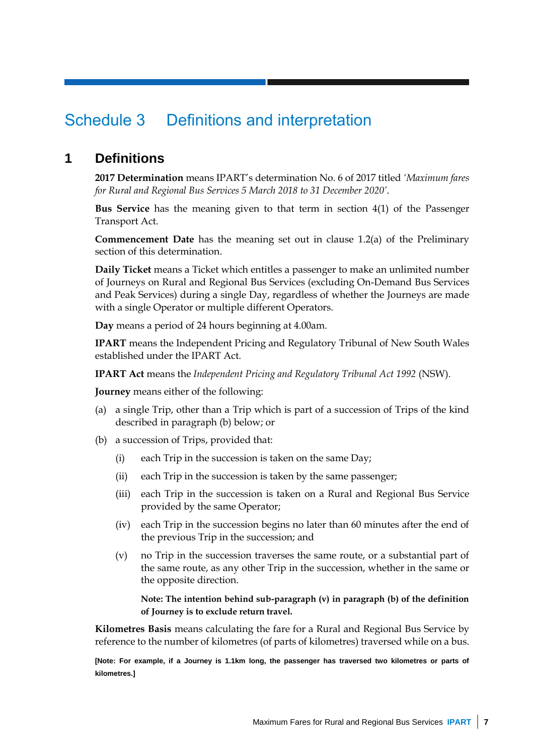## <span id="page-12-0"></span>Schedule 3 Definitions and interpretation

## <span id="page-12-1"></span>**1 Definitions**

**2017 Determination** means IPART's determination No. 6 of 2017 titled *'Maximum fares for Rural and Regional Bus Services 5 March 2018 to 31 December 2020'*.

**Bus Service** has the meaning given to that term in section 4(1) of the Passenger Transport Act.

**Commencement Date** has the meaning set out in clause 1.2(a) of the Preliminary section of this determination.

**Daily Ticket** means a Ticket which entitles a passenger to make an unlimited number of Journeys on Rural and Regional Bus Services (excluding On-Demand Bus Services and Peak Services) during a single Day, regardless of whether the Journeys are made with a single Operator or multiple different Operators.

**Day** means a period of 24 hours beginning at 4.00am.

**IPART** means the Independent Pricing and Regulatory Tribunal of New South Wales established under the IPART Act.

**IPART Act** means the *Independent Pricing and Regulatory Tribunal Act 1992* (NSW).

**Journey** means either of the following:

- (a) a single Trip, other than a Trip which is part of a succession of Trips of the kind described in paragraph (b) below; or
- (b) a succession of Trips, provided that:
	- (i) each Trip in the succession is taken on the same Day;
	- (ii) each Trip in the succession is taken by the same passenger;
	- (iii) each Trip in the succession is taken on a Rural and Regional Bus Service provided by the same Operator;
	- (iv) each Trip in the succession begins no later than 60 minutes after the end of the previous Trip in the succession; and
	- (v) no Trip in the succession traverses the same route, or a substantial part of the same route, as any other Trip in the succession, whether in the same or the opposite direction.

**Note: The intention behind sub-paragraph (v) in paragraph (b) of the definition of Journey is to exclude return travel.**

**Kilometres Basis** means calculating the fare for a Rural and Regional Bus Service by reference to the number of kilometres (of parts of kilometres) traversed while on a bus.

**[Note: For example, if a Journey is 1.1km long, the passenger has traversed two kilometres or parts of kilometres.]**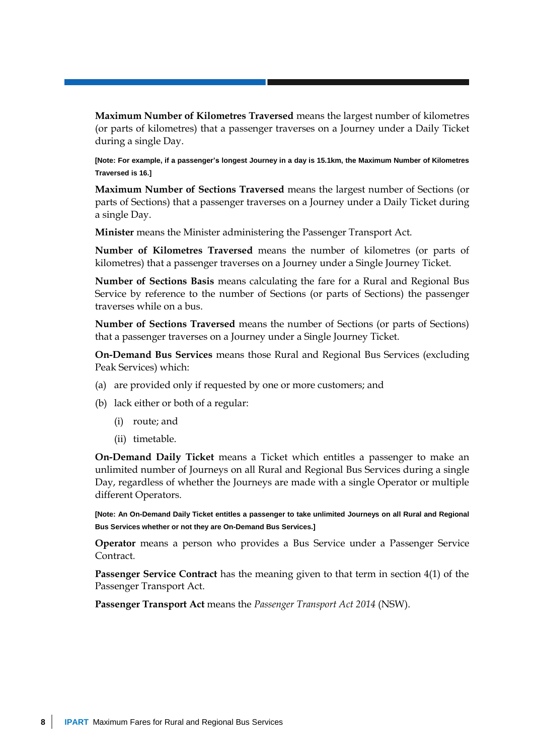**Maximum Number of Kilometres Traversed** means the largest number of kilometres (or parts of kilometres) that a passenger traverses on a Journey under a Daily Ticket during a single Day.

**[Note: For example, if a passenger's longest Journey in a day is 15.1km, the Maximum Number of Kilometres Traversed is 16.]**

**Maximum Number of Sections Traversed** means the largest number of Sections (or parts of Sections) that a passenger traverses on a Journey under a Daily Ticket during a single Day.

**Minister** means the Minister administering the Passenger Transport Act.

**Number of Kilometres Traversed** means the number of kilometres (or parts of kilometres) that a passenger traverses on a Journey under a Single Journey Ticket.

**Number of Sections Basis** means calculating the fare for a Rural and Regional Bus Service by reference to the number of Sections (or parts of Sections) the passenger traverses while on a bus.

**Number of Sections Traversed** means the number of Sections (or parts of Sections) that a passenger traverses on a Journey under a Single Journey Ticket.

**On-Demand Bus Services** means those Rural and Regional Bus Services (excluding Peak Services) which:

- (a) are provided only if requested by one or more customers; and
- (b) lack either or both of a regular:
	- (i) route; and
	- (ii) timetable.

**On-Demand Daily Ticket** means a Ticket which entitles a passenger to make an unlimited number of Journeys on all Rural and Regional Bus Services during a single Day, regardless of whether the Journeys are made with a single Operator or multiple different Operators.

**[Note: An On-Demand Daily Ticket entitles a passenger to take unlimited Journeys on all Rural and Regional Bus Services whether or not they are On-Demand Bus Services.]**

**Operator** means a person who provides a Bus Service under a Passenger Service Contract*.*

**Passenger Service Contract** has the meaning given to that term in section 4(1) of the Passenger Transport Act.

**Passenger Transport Act** means the *Passenger Transport Act 2014* (NSW).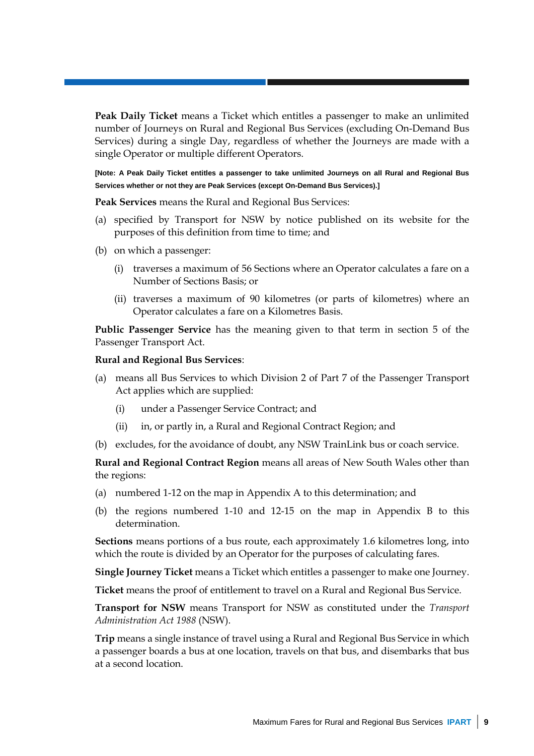**Peak Daily Ticket** means a Ticket which entitles a passenger to make an unlimited number of Journeys on Rural and Regional Bus Services (excluding On-Demand Bus Services) during a single Day, regardless of whether the Journeys are made with a single Operator or multiple different Operators.

**[Note: A Peak Daily Ticket entitles a passenger to take unlimited Journeys on all Rural and Regional Bus Services whether or not they are Peak Services (except On-Demand Bus Services).]**

**Peak Services** means the Rural and Regional Bus Services:

- (a) specified by Transport for NSW by notice published on its website for the purposes of this definition from time to time; and
- (b) on which a passenger:
	- (i) traverses a maximum of 56 Sections where an Operator calculates a fare on a Number of Sections Basis; or
	- (ii) traverses a maximum of 90 kilometres (or parts of kilometres) where an Operator calculates a fare on a Kilometres Basis.

**Public Passenger Service** has the meaning given to that term in section 5 of the Passenger Transport Act.

#### **Rural and Regional Bus Services**:

- (a) means all Bus Services to which Division 2 of Part 7 of the Passenger Transport Act applies which are supplied:
	- (i) under a Passenger Service Contract; and
	- (ii) in, or partly in, a Rural and Regional Contract Region; and
- (b) excludes, for the avoidance of doubt, any NSW TrainLink bus or coach service.

**Rural and Regional Contract Region** means all areas of New South Wales other than the regions:

- (a) numbered 1-12 on the map in Appendix A to this determination; and
- (b) the regions numbered 1-10 and 12-15 on the map in Appendix B to this determination.

**Sections** means portions of a bus route, each approximately 1.6 kilometres long, into which the route is divided by an Operator for the purposes of calculating fares.

**Single Journey Ticket** means a Ticket which entitles a passenger to make one Journey.

**Ticket** means the proof of entitlement to travel on a Rural and Regional Bus Service.

**Transport for NSW** means Transport for NSW as constituted under the *Transport Administration Act 1988* (NSW).

**Trip** means a single instance of travel using a Rural and Regional Bus Service in which a passenger boards a bus at one location, travels on that bus, and disembarks that bus at a second location.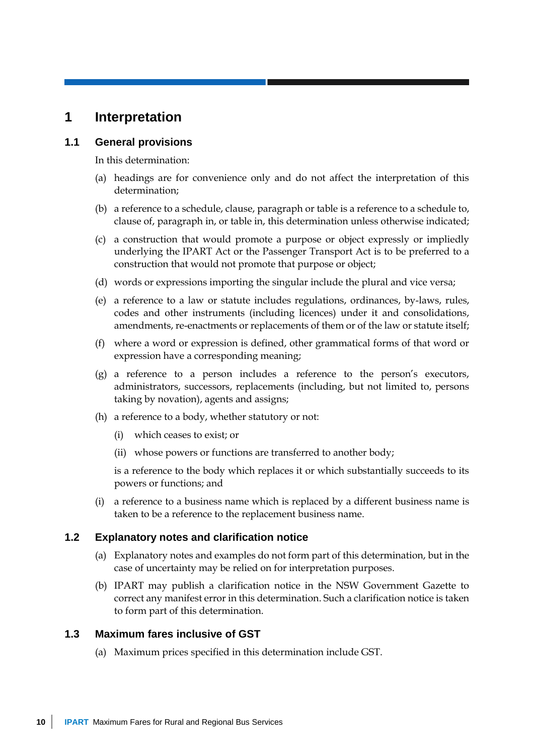### <span id="page-15-0"></span>**1 Interpretation**

#### **1.1 General provisions**

In this determination:

- (a) headings are for convenience only and do not affect the interpretation of this determination;
- (b) a reference to a schedule, clause, paragraph or table is a reference to a schedule to, clause of, paragraph in, or table in, this determination unless otherwise indicated;
- (c) a construction that would promote a purpose or object expressly or impliedly underlying the IPART Act or the Passenger Transport Act is to be preferred to a construction that would not promote that purpose or object;
- (d) words or expressions importing the singular include the plural and vice versa;
- (e) a reference to a law or statute includes regulations, ordinances, by-laws, rules, codes and other instruments (including licences) under it and consolidations, amendments, re-enactments or replacements of them or of the law or statute itself;
- (f) where a word or expression is defined, other grammatical forms of that word or expression have a corresponding meaning;
- (g) a reference to a person includes a reference to the person's executors, administrators, successors, replacements (including, but not limited to, persons taking by novation), agents and assigns;
- (h) a reference to a body, whether statutory or not:
	- (i) which ceases to exist; or
	- (ii) whose powers or functions are transferred to another body;

is a reference to the body which replaces it or which substantially succeeds to its powers or functions; and

(i) a reference to a business name which is replaced by a different business name is taken to be a reference to the replacement business name.

#### **1.2 Explanatory notes and clarification notice**

- (a) Explanatory notes and examples do not form part of this determination, but in the case of uncertainty may be relied on for interpretation purposes.
- (b) IPART may publish a clarification notice in the NSW Government Gazette to correct any manifest error in this determination. Such a clarification notice is taken to form part of this determination.

#### **1.3 Maximum fares inclusive of GST**

(a) Maximum prices specified in this determination include GST.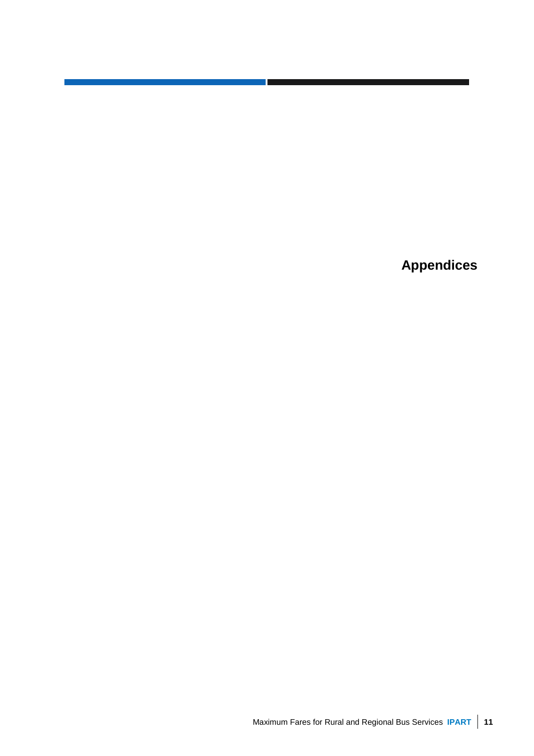**Appendices**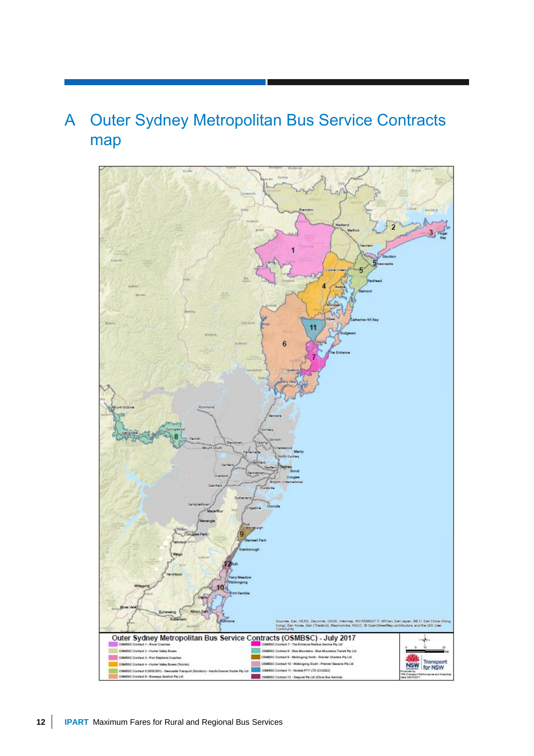# <span id="page-17-0"></span>A Outer Sydney Metropolitan Bus Service Contracts map